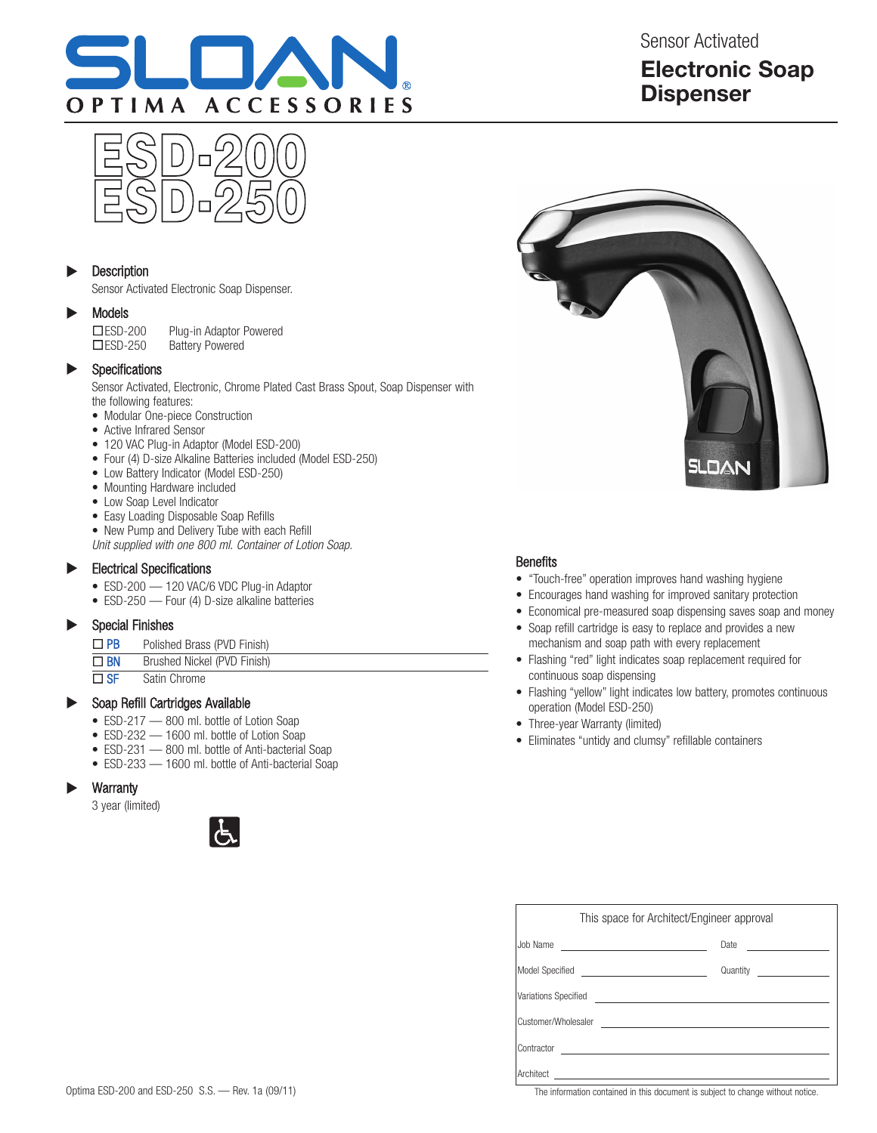

Sensor Activated **Electronic Soap Dispenser**



#### **Description**  $\blacktriangleright$

Sensor Activated Electronic Soap Dispenser.

#### Models  $\blacktriangleright$

**□ESD-200** Plug-in Adaptor Powered<br>□ESD-250 Battery Powered Battery Powered

#### Specifications  $\blacktriangleright$

Sensor Activated, Electronic, Chrome Plated Cast Brass Spout, Soap Dispenser with the following features:

- Modular One-piece Construction
- Active Infrared Sensor
- 120 VAC Plug-in Adaptor (Model ESD-200)
- Four (4) D-size Alkaline Batteries included (Model ESD-250)
- Low Battery Indicator (Model ESD-250)
- Mounting Hardware included
- Low Soap Level Indicator
- Easy Loading Disposable Soap Refills
- New Pump and Delivery Tube with each Refill

Unit supplied with one 800 ml. Container of Lotion Soap.

#### Electrical Specifications  $\blacktriangleright$

- ESD-200 120 VAC/6 VDC Plug-in Adaptor
- ESD-250 Four (4) D-size alkaline batteries

#### Special Finishes u

 $\Box$  PB Polished Brass (PVD Finish)

| $\square$ BN | Brushed Nickel (PVD Finish) |  |
|--------------|-----------------------------|--|

 $\overline{\Box S}$  Satin Chrome

#### Soap Refill Cartridges Available  $\blacktriangleright$

- ESD-217 800 ml. bottle of Lotion Soap
- ESD-232 1600 ml. bottle of Lotion Soap
- ESD-231 800 ml. bottle of Anti-bacterial Soap
- ESD-233 1600 ml. bottle of Anti-bacterial Soap

#### **Warranty**  $\blacktriangleright$

3 year (limited)





## **Benefits**

- "Touch-free" operation improves hand washing hygiene
- Encourages hand washing for improved sanitary protection
- Economical pre-measured soap dispensing saves soap and money
- Soap refill cartridge is easy to replace and provides a new mechanism and soap path with every replacement
- Flashing "red" light indicates soap replacement required for continuous soap dispensing
- Flashing "yellow" light indicates low battery, promotes continuous operation (Model ESD-250)
- Three-year Warranty (limited)
- Eliminates "untidy and clumsy" refillable containers

| This space for Architect/Engineer approval                                                                                       |  |  |  |
|----------------------------------------------------------------------------------------------------------------------------------|--|--|--|
| Job Name<br><u> Alexandria de la contenta de la contenta de la contenta de la contenta de la contenta de la contenta de la c</u> |  |  |  |
| Model Specified ______________________________                                                                                   |  |  |  |
|                                                                                                                                  |  |  |  |
| Customer/Wholesaler Learner and Contract and Contract and Contract and Contract and Contract and Contract and                    |  |  |  |
| Contractor                                                                                                                       |  |  |  |
| Architect                                                                                                                        |  |  |  |

The information contained in this document is subject to change without notice.